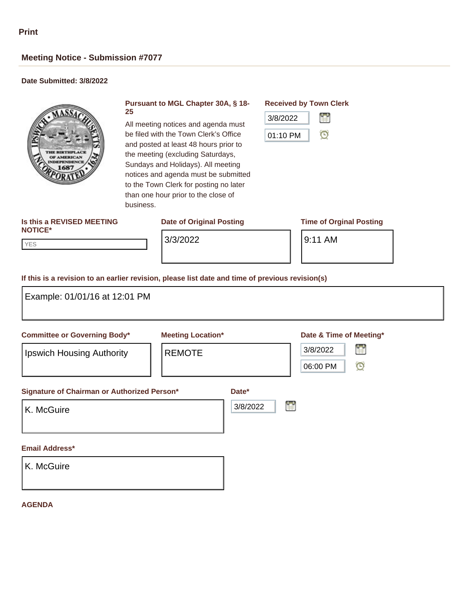# **Meeting Notice - Submission #7077**

# **Date Submitted: 3/8/2022**



# **Pursuant to MGL Chapter 30A, § 18- 25**

All meeting notices and agenda must be filed with the Town Clerk's Office and posted at least 48 hours prior to the meeting (excluding Saturdays, Sundays and Holidays). All meeting notices and agenda must be submitted to the Town Clerk for posting no later than one hour prior to the close of business.

## **Is this a REVISED MEETING NOTICE\***

# **Date of Original Posting Time of Orginal Posting**

# **Received by Town Clerk**



YES YES

3/3/2022 **9:11 AM** 

## **If this is a revision to an earlier revision, please list date and time of previous revision(s)**

| Example: 01/01/16 at 12:01 PM                                    |                                           |                                                                 |
|------------------------------------------------------------------|-------------------------------------------|-----------------------------------------------------------------|
| <b>Committee or Governing Body*</b><br>Ipswich Housing Authority | <b>Meeting Location*</b><br><b>REMOTE</b> | Date & Time of Meeting*<br>曾<br>3/8/2022<br>$\odot$<br>06:00 PM |
| Signature of Chairman or Authorized Person*<br>K. McGuire        |                                           | Date*<br>ŧ<br>3/8/2022                                          |
| Email Address*<br>K. McGuire                                     |                                           |                                                                 |

## **AGENDA**